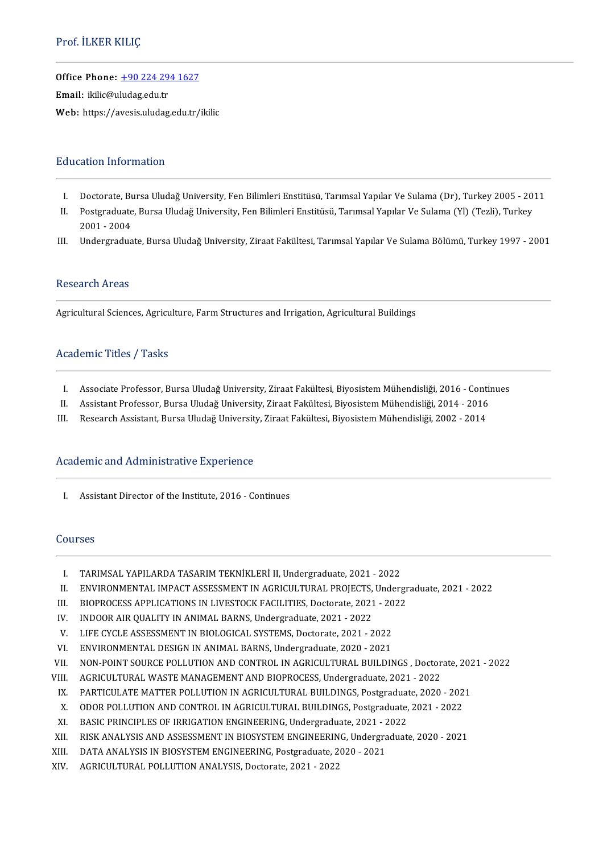### Prof. İLKER KILIÇ

Office Phone: [+902242941627](tel:+90 224 294 1627)

—<br>Office Phone: <u>+90 224 29</u><br>Email: ikilic@uludag.edu.tr Email: ikilic@uludag.edu.tr<br>Web: https://avesis.uludag.edu.tr/ikilic

### **Education Information**

- ducation Information<br>I. Doctorate, Bursa Uludağ University, Fen Bilimleri Enstitüsü, Tarımsal Yapılar Ve Sulama (Dr), Turkey 2005 2011<br>I. Doctoradusta Bursa Uludağ University, Fen Bilimleri Enstitüsü, Tarımsal Yapılar Ve
- I. Doctorate, Bursa Uludağ University, Fen Bilimleri Enstitüsü, Tarımsal Yapılar Ve Sulama (Dr), Turkey 2005 20<br>II. Postgraduate, Bursa Uludağ University, Fen Bilimleri Enstitüsü, Tarımsal Yapılar Ve Sulama (Yl) Doctorate, Bu<br>Postgraduate<br>2001 - 2004<br>Undorgradua II. Postgraduate, Bursa Uludağ University, Fen Bilimleri Enstitüsü, Tarımsal Yapılar Ve Sulama (Yl) (Tezli), Turkey<br>2001 - 2004<br>III. Undergraduate, Bursa Uludağ University, Ziraat Fakültesi, Tarımsal Yapılar Ve Sulama Bölü
- 

#### Research Areas

Agricultural Sciences, Agriculture, Farm Structures and Irrigation, Agricultural Buildings

### Academic Titles / Tasks

- cademic Titles / Tasks<br>I. Associate Professor, Bursa Uludağ University, Ziraat Fakültesi, Biyosistem Mühendisliği, 2016 Continues<br>I. Assistant Professor, Bursa Uludağ University, Ziraat Fakültesi, Biyosistem Mühendisliği
- I. Associate Professor, Bursa Uludağ University, Ziraat Fakültesi, Biyosistem Mühendisliği, 2016 Contin<br>II. Assistant Professor, Bursa Uludağ University, Ziraat Fakültesi, Biyosistem Mühendisliği, 2014 2016<br>II. Resears I. Associate Professor, Bursa Uludağ University, Ziraat Fakültesi, Biyosistem Mühendisliği, 2016 - Cont<br>II. Assistant Professor, Bursa Uludağ University, Ziraat Fakültesi, Biyosistem Mühendisliği, 2014 - 2016<br>III. Research
- 

### Academic and Administrative Experience

I. Assistant Director of the Institute, 2016 - Continues

#### Courses

- I. TARIMSAL YAPILARDA TASARIM TEKNİKLERİ II, Undergraduate, 2021 2022<br>II. ENVIRONMENTAL IMPACT ASSESSMENT IN AGRICULTURAL PROJECTS, Under
- II. ENVIRONMENTAL IMPACT ASSESSMENT IN AGRICULTURAL PROJECTS, Undergraduate, 2021 2022<br>III. BIOPROCESS APPLICATIONS IN LIVESTOCK FACILITIES, Doctorate, 2021 2022 I. TARIMSAL YAPILARDA TASARIM TEKNIKLERI II, Undergraduate, 2021 - 2022<br>II. ENVIRONMENTAL IMPACT ASSESSMENT IN AGRICULTURAL PROJECTS, Undergr<br>III. BIOPROCESS APPLICATIONS IN LIVESTOCK FACILITIES, Doctorate, 2021 - 2022<br>IV.
- II. ENVIRONMENTAL IMPACT ASSESSMENT IN AGRICULTURAL PROJECTS,<br>III. BIOPROCESS APPLICATIONS IN LIVESTOCK FACILITIES, Doctorate, 2021<br>IV. INDOOR AIR QUALITY IN ANIMAL BARNS, Undergraduate, 2021 2022<br>V. LIEE CYCLE ASSESSMEN II. BIOPROCESS APPLICATIONS IN LIVESTOCK FACILITIES, Doctorate, 2021 - 20<br>V. INDOOR AIR QUALITY IN ANIMAL BARNS, Undergraduate, 2021 - 2022<br>V. LIFE CYCLE ASSESSMENT IN BIOLOGICAL SYSTEMS, Doctorate, 2021 - 2022<br>Z. ENVIRONM
- 
- IV. INDOOR AIR QUALITY IN ANIMAL BARNS, Undergraduate, 2021 2022<br>V. LIFE CYCLE ASSESSMENT IN BIOLOGICAL SYSTEMS, Doctorate, 2021 2022<br>VI. ENVIRONMENTAL DESIGN IN ANIMAL BARNS, Undergraduate, 2020 2021<br>VII. NON-POINT
- 
- VII. NON-POINT SOURCE POLLUTION AND CONTROL IN AGRICULTURAL BUILDINGS , Doctorate, 2021 2022<br>VIII. AGRICULTURAL WASTE MANAGEMENT AND BIOPROCESS, Undergraduate, 2021 2022
- 
- III. AGRICULTURAL WASTE MANAGEMENT AND BIOPROCESS, Undergraduate, 2021 2022<br>IX. PARTICULATE MATTER POLLUTION IN AGRICULTURAL BUILDINGS, Postgraduate, 2020 III. NON-POINT SOURCE POLLUTION AND CONTROL IN AGRICULTURAL BUILDINGS , Doctorate, 202<br>III. AGRICULTURAL WASTE MANAGEMENT AND BIOPROCESS, Undergraduate, 2021 - 2022<br>IX. PARTICULATE MATTER POLLUTION IN AGRICULTURAL BUILDING II. AGRICULTURAL WASTE MANAGEMENT AND BIOPROCESS, Undergraduate, 2021 - 2022<br>X. PARTICULATE MATTER POLLUTION IN AGRICULTURAL BUILDINGS, Postgraduate, 2020 - 202<br>X. ODOR POLLUTION AND CONTROL IN AGRICULTURAL BUILDINGS, Post IX. PARTICULATE MATTER POLLUTION IN AGRICULTURAL BUILDINGS, Postgraduate,<br>X. ODOR POLLUTION AND CONTROL IN AGRICULTURAL BUILDINGS, Postgraduate,<br>2021 - BISK ANALYSIS AND ASSESSMENT IN PIOSYSTEM ENCINEERING, Undergraduate
- 
- 
- X. ODOR POLLUTION AND CONTROL IN AGRICULTURAL BUILDINGS, Postgraduate, 2021 2022<br>XI. BASIC PRINCIPLES OF IRRIGATION ENGINEERING, Undergraduate, 2021 2022<br>XII. RISK ANALYSIS AND ASSESSMENT IN BIOSYSTEM ENGINEERING, Unde XI. BASIC PRINCIPLES OF IRRIGATION ENGINEERING, Undergraduate, 2021 - 2<br>XII. RISK ANALYSIS AND ASSESSMENT IN BIOSYSTEM ENGINEERING, Undergra<br>XIII. DATA ANALYSIS IN BIOSYSTEM ENGINEERING, Postgraduate, 2020 - 2021<br>XIV. ACRI
- 
- XII. RISK ANALYSIS AND ASSESSMENT IN BIOSYSTEM ENGINEERIN<br>XIII. DATA ANALYSIS IN BIOSYSTEM ENGINEERING, Postgraduate, 2<br>XIV. AGRICULTURAL POLLUTION ANALYSIS, Doctorate, 2021 2022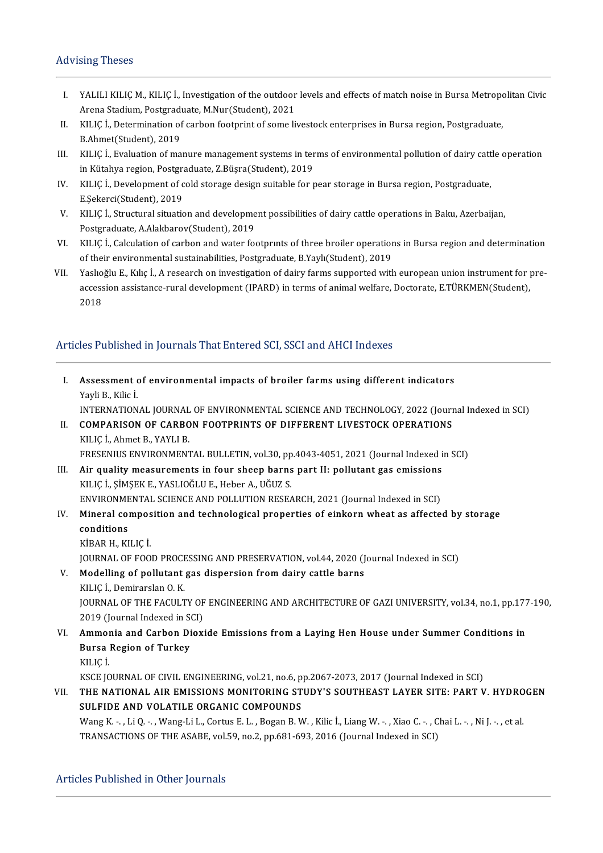#### **Advising Theses**

- dvising Theses<br>I. YALILI KILIÇ M., KILIÇ İ., Investigation of the outdoor levels and effects of match noise in Bursa Metropolitan Civic<br>Arona Stadium Bostaraduate MAlur(Student), 2021 YALILI KILIÇ M., KILIÇ İ., Investigation of the outdoor<br>Arena Stadium, Postgraduate, M.Nur(Student), 2021<br>KU IC İ. Determination of sarban fostnrint of same li I. YALILI KILIÇ M., KILIÇ İ., Investigation of the outdoor levels and effects of match noise in Bursa Metropo<br>Arena Stadium, Postgraduate, M.Nur(Student), 2021<br>II. KILIÇ İ., Determination of carbon footprint of some livest
- Arena Stadium, Postgraduate, M.Nur(Student), 2021<br>II. KILIÇ İ., Determination of carbon footprint of some livestock enterprises in Bursa region, Postgraduate,<br>B.Ahmet(Student), 2019 II. KILIÇ İ., Determination of carbon footprint of some livestock enterprises in Bursa region, Postgraduate,<br>B.Ahmet(Student), 2019<br>III. KILIÇ İ., Evaluation of manure management systems in terms of environmental pollution
- B.Ahmet(Student), 2019<br>KILIÇ İ., Evaluation of manure management systems in ter<br>in Kütahya region, Postgraduate, Z.Büşra(Student), 2019<br>KU IC İ. Davelanment of sald stanage desirn suitable far r III. KILIÇ İ., Evaluation of manure management systems in terms of environmental pollution of dairy catt<br>in Kütahya region, Postgraduate, Z.Büşra(Student), 2019<br>IV. KILIÇ İ., Development of cold storage design suitable for
- in Kütahya region, Postgraduate, Z.Büşra(Student), 2019<br>IV. KILIÇ İ., Development of cold storage design suitable for pear storage in Bursa region, Postgraduate,<br>E.Şekerci(Student), 2019
- V. KILIÇ İ., Structural situation and development possibilities of dairy cattle operations in Baku, Azerbaijan, Postgraduate, A.Alakbarov(Student), 2019 V. KILIÇ İ., Structural situation and development possibilities of dairy cattle operations in Baku, Azerbaijan,<br>Postgraduate, A.Alakbarov(Student), 2019<br>VI. KILIÇ İ., Calculation of carbon and water footprınts of three bro
- Postgraduate, A.Alakbarov(Student), 2019<br>KILIÇ İ., Calculation of carbon and water footprints of three broiler operation<br>of their environmental sustainabilities, Postgraduate, B.Yaylı(Student), 2019<br>Yaslıoğlu E. Kılış İ. A VI. KILIÇ İ., Calculation of carbon and water footprints of three broiler operations in Bursa region and determination<br>of their environmental sustainabilities, Postgraduate, B.Yaylı(Student), 2019<br>VII. Yaslıoğlu E., Kılıç
- of their environmental sustainabilities, Postgraduate, B.Yaylı(Student), 2019<br>Yaslıoğlu E., Kılıç İ., A research on investigation of dairy farms supported with european union instrument for<br>accession assistance-rural devel Yaslıo<br>access<br>2018

# 2018<br>Articles Published in Journals That Entered SCI, SSCI and AHCI Indexes

I. Assessment of environmental impacts of broiler farms using different indicators **Assessment (Kritik)**<br>Yayli B., Kilic İ.<br>INTERNATION Assessment of environmental impacts of broiler farms using different indicators<br>Yayli B., Kilic İ.<br>INTERNATIONAL JOURNAL OF ENVIRONMENTAL SCIENCE AND TECHNOLOGY, 2022 (Journal Indexed in SCI)<br>COMBARISON OF CARRON FOOTRRINT Yayli B., Kilic İ.<br>INTERNATIONAL JOURNAL OF ENVIRONMENTAL SCIENCE AND TECHNOLOGY, 2022 (Jour<br>II. COMPARISON OF CARBON FOOTPRINTS OF DIFFERENT LIVESTOCK OPERATIONS<br>KILIC İ., Ahmet B., YAYLI B. INTERNATIONAL JOURNAL<br>**COMPARISON OF CARBO**<br>KILIÇ İ., Ahmet B., YAYLI B.<br>ERESENIJIS ENVIRONMENT FRESENIUS ENVIRONMENTAL BULLETIN, vol.30, pp.4043-4051, 2021 (Journal Indexed in SCI) KILIÇ İ., Ahmet B., YAYLI B.<br>FRESENIUS ENVIRONMENTAL BULLETIN, vol.30, pp.4043-4051, 2021 (Journal Indexed i<br>III. Air quality measurements in four sheep barns part II: pollutant gas emissions<br>KILIÇ İ. SİMSEK E. VASLIQĞLU E FRESENIUS ENVIRONMENTAL BULLETIN, vol.30, pp<br>Air quality measurements in four sheep barns<br>KILIÇ İ., ŞİMŞEK E., YASLIOĞLU E., Heber A., UĞUZ S.<br>ENVIRONMENTAL SCIENCE AND POLLUTION PESEA Air quality measurements in four sheep barns part II: pollutant gas emissions<br>KILIÇ İ., ŞİMŞEK E., YASLIOĞLU E., Heber A., UĞUZ S.<br>ENVIRONMENTAL SCIENCE AND POLLUTION RESEARCH, 2021 (Journal Indexed in SCI)<br>Mineral composi KILIÇ İ., ŞİMŞEK E., YASLIOĞLU E., Heber A., UĞUZ S.<br>ENVIRONMENTAL SCIENCE AND POLLUTION RESEARCH, 2021 (Journal Indexed in SCI)<br>IV. Mineral composition and technological properties of einkorn wheat as affected by stor ENVIRONME<br>Mineral conditions<br>vipap u vi Mineral compos<br>conditions<br>KİBAR H., KILIÇ İ.<br>JOUPNAL OE EOO conditions<br>KİBAR H., KILIÇ İ.<br>JOURNAL OF FOOD PROCESSING AND PRESERVATION, vol.44, 2020 (Journal Indexed in SCI)<br>Modelling of pollutant ges dispersion from dairy settle benns. KİBAR H., KILIÇ İ.<br>JOURNAL OF FOOD PROCESSING AND PRESERVATION, vol.44, 2020 (J<br>V. Modelling of pollutant gas dispersion from dairy cattle barns<br>KILIC İ.. Demirarslan O. K. **JOURNAL OF FOOD PROCE<br>Modelling of pollutant<br>KILIÇ İ., Demirarslan O. K.<br>JOUPNAL OF THE FACULT** Modelling of pollutant gas dispersion from dairy cattle barns<br>KILIÇ İ., Demirarslan O. K.<br>JOURNAL OF THE FACULTY OF ENGINEERING AND ARCHITECTURE OF GAZI UNIVERSITY, vol.34, no.1, pp.177-190,<br>2010 (Jaurnal Indaved in SCI) KILIÇ İ., Demirarslan O. K.<br>JOURNAL OF THE FACULTY OF<br>2019 (Journal Indexed in SCI)<br>Ammonia and Carbon Diovi JOURNAL OF THE FACULTY OF ENGINEERING AND ARCHITECTURE OF GAZI UNIVERSITY, vol.34, no.1, pp.177<br>2019 (Journal Indexed in SCI)<br>VI. Ammonia and Carbon Dioxide Emissions from a Laying Hen House under Summer Conditions in 2019 (Journal Indexed in St<br>Ammonia and Carbon Di<br>Bursa Region of Turkey<br><sup>VII IC i</sup> Ammol<br>Bursa<br>KILIÇ İ.<br>*V*SCE IC KILIÇ İ.<br>KSCE JOURNAL OF CIVIL ENGINEERING, vol.21, no.6, pp.2067-2073, 2017 (Journal Indexed in SCI) KILIÇ İ.<br>KSCE JOURNAL OF CIVIL ENGINEERING, vol.21, no.6, pp.2067-2073, 2017 (Journal Indexed in SCI)<br>VII. THE NATIONAL AIR EMISSIONS MONITORING STUDY'S SOUTHEAST LAYER SITE: PART V. HYDROGEN<br>SULEIDE AND VOLATILE OBCAN KSCE JOURNAL OF CIVIL ENGINEERING, vol.21, no.6, p<br>THE NATIONAL AIR EMISSIONS MONITORING ST<br>SULFIDE AND VOLATILE ORGANIC COMPOUNDS THE NATIONAL AIR EMISSIONS MONITORING STUDY'S SOUTHEAST LAYER SITE: PART V. HYDRO<br>SULFIDE AND VOLATILE ORGANIC COMPOUNDS<br>Wang K. -., Li Q. -., Wang-Li L., Cortus E. L., Bogan B. W. , Kilic İ., Liang W. -., Xiao C. -., Chai SULFIDE AND VOLATILE ORGANIC COMPOUNDS<br>Wang K. - , Li Q. - , Wang-Li L., Cortus E. L. , Bogan B. W. , Kilic İ., Liang W. - , Xiao C. - , Chai L. - , Ni J. - , et al.<br>TRANSACTIONS OF THE ASABE, vol.59, no.2, pp.681-693, 201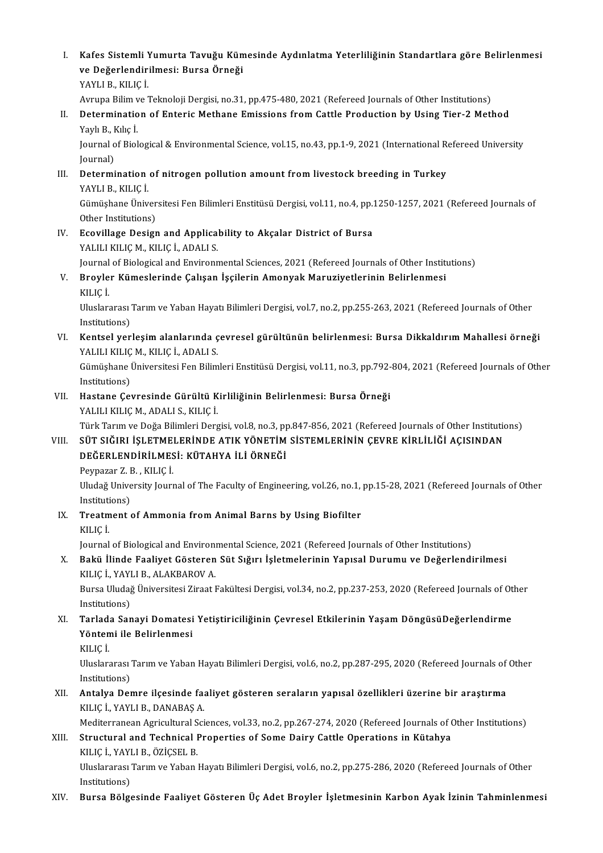- I. Kafes Sistemli Yumurta Tavuğu Kümesinde Aydınlatma Yeterliliğinin Standartlara göre Belirlenmesi Kafes Sistemli Yumurta Tavuğu Kün<br>ve Değerlendirilmesi: Bursa Örneği<br>YAVULP, KUJCİ Kafes Sistemli <mark>)</mark><br>ve Değerlendiri<br>YAYLI B., KILIÇ İ.<br>Aynuna Bilim ve <sup>7</sup> <mark>ve Değerlendirilmesi: Bursa Örneği</mark><br>YAYLI B., KILIÇ İ.<br>Avrupa Bilim ve Teknoloji Dergisi, no.31, pp.475-480, 2021 (Refereed Journals of Other Institutions)<br>Determination of Enteris Methone Emissions from Cattle Production
	-

YAYLI B., KILIÇ İ.<br>Avrupa Bilim ve Teknoloji Dergisi, no.31, pp.475-480, 2021 (Refereed Journals of Other Institutions)<br>II. Determination of Enteric Methane Emissions from Cattle Production by Using Tier-2 Method<br>Yavlı Avrupa Bilim v<br><mark>Determinatio</mark><br>Yaylı B., Kılıç İ.<br>Journal of Biol Determination of Enteric Methane Emissions from Cattle Production by Using Tier-2 Method<br>Yaylı B., Kılıç İ.<br>Journal of Biological & Environmental Science, vol.15, no.43, pp.1-9, 2021 (International Refereed University<br>Jour

Yaylı B., F<br>Journal o<br>Journal)<br>Dotermi Journal of Biological & Environmental Science, vol.15, no.43, pp.1-9, 2021 (International Represention of nitrogen pollution amount from livestock breeding in Turkey<br>VAVLLE VUJCI

Journal)<br><mark>Determination</mark><br>YAYLI B., KILIÇ İ.<br>Gümüsbane Üniv

Determination of nitrogen pollution amount from livestock breeding in Turkey<br>YAYLI B., KILIÇ İ.<br>Gümüşhane Üniversitesi Fen Bilimleri Enstitüsü Dergisi, vol.11, no.4, pp.1250-1257, 2021 (Refereed Journals of<br>Other Instituti YAYLI B., KILIÇ İ.<br>Gümüşhane Üniver<br>Other Institutions)<br>Feovillage Desigr Gümüşhane Üniversitesi Fen Bilimleri Enstitüsü Dergisi, vol.11, no.4, pp.:<br>Other Institutions)<br>IV. Ecovillage Design and Applicability to Akçalar District of Bursa<br>VALU LEU IC M, EU IC Å ADALLS

Other Institutions)<br>IV. Ecovillage Design and Applicability to Akçalar District of Bursa<br>YALILI KILIÇ M., KILIÇ İ., ADALI S. Ecovillage Design and Applicability to Akçalar District of Bursa<br>YALILI KILIÇ M., KILIÇ İ., ADALI S.<br>Journal of Biological and Environmental Sciences, 2021 (Refereed Journals of Other Institutions)<br>Provler Kümeelerinde Cel

YALILI KILIÇ M., KILIÇ İ., ADALI S.<br>Journal of Biological and Environmental Sciences, 2021 (Refereed Journals of Other Institution Belirlenmesi<br>V. Broyler Kümeslerinde Çalışan İşçilerin Amonyak Maruziyetlerinin Belirlenmes Journal<br><mark>Broyle</mark><br>KILIÇ İ. Broyler Kümeslerinde Çalışan İşçilerin Amonyak Maruziyetlerinin Belirlenmesi<br>KILIÇ İ.<br>Uluslararası Tarım ve Yaban Hayatı Bilimleri Dergisi, vol.7, no.2, pp.255-263, 2021 (Refereed Journals of Other

KILIÇ İ.<br>Uluslararası<br>Institutions)<br>Kontaal yar Vluslararası Tarım ve Yaban Hayatı Bilimleri Dergisi, vol.7, no.2, pp.255-263, 2021 (Refereed Journals of Other<br>Institutions)<br>VI. Kentsel yerleşim alanlarında çevresel gürültünün belirlenmesi: Bursa Dikkaldırım Mahallesi ö

Institutions)<br>Kentsel yerleşim alanlarında ç<br>YALILI KILIÇ M., KILIÇ İ., ADALI S.<br>Gümüshane Üniversitesi Fen Bilim Kentsel yerleşim alanlarında çevresel gürültünün belirlenmesi: Bursa Dikkaldırım Mahallesi örneği<br>YALILI KILIÇ M., KILIÇ İ., ADALI S.<br>Gümüşhane Üniversitesi Fen Bilimleri Enstitüsü Dergisi, vol.11, no.3, pp.792-804, 2021 (

YALILI KILIÇ M., KILIÇ İ., ADALI S.<br>Gümüşhane Üniversitesi Fen Bilimleri Enstitüsü Dergisi, vol.11, no.3, pp.792-804, 2021 (Refereed Journals of Other<br>Institutions) Gümüşhane Üniversitesi Fen Bilimleri Enstitüsü Dergisi, vol.11, no.3, pp.792-<br>Institutions)<br>VII. Hastane Çevresinde Gürültü Kirliliğinin Belirlenmesi: Bursa Örneği<br>VALILLELLE M. ADALLS, EULE İ

Institutions)<br>Hastane Çevresinde Gürültü K<br>YALILI KILIÇ M., ADALI S., KILIÇ İ.<br>Türk Tarım ve Değe Bilimleri Dere Hastane Çevresinde Gürültü Kirliliğinin Belirlenmesi: Bursa Örneği<br>YALILI KILIÇ M., ADALI S., KILIÇ İ.<br>Türk Tarım ve Doğa Bilimleri Dergisi, vol.8, no.3, pp.847-856, 2021 (Refereed Journals of Other Institutions)<br>SÜT SIĞIR

## YALILI KILIÇ M., ADALI S., KILIÇ İ.<br>Türk Tarım ve Doğa Bilimleri Dergisi, vol.8, no.3, pp.847-856, 2021 (Refereed Journals of Other Institutic<br>VIII. SÜT SIĞIRI İŞLETMELERİNDE ATIK YÖNETİM SİSTEMLERİNİN ÇEVRE KİRLİLİĞİ Türk Tarım ve Doğa Bilimleri Dergisi, vol.8, no.3, p<sub>I</sub><br>SÜT SIĞIRI İŞLETMELERİNDE ATIK YÖNETİM<br>DEĞERLENDİRİLMESİ: KÜTAHYA İLİ ÖRNEĞİ<br>Reynazar 7, P., KULC İ SÜT SIĞIRI İŞLETME<br>DEĞERLENDİRİLMES<br>Peypazar Z.B., KILIÇ İ.<br>Illudağ University Journ

DEĞERLENDİRİLMESİ: KÜTAHYA İLİ ÖRNEĞİ<br>Peypazar Z. B. , KILIÇ İ.<br>Uludağ University Journal of The Faculty of Engineering, vol.26, no.1, pp.15-28, 2021 (Refereed Journals of Other<br>Institutions) Peypazar Z. I<br>Uludağ Unive<br>Institutions)<br>Treatment Uludağ University Journal of The Faculty of Engineering, vol.26, no.1,<br>Institutions)<br>IX. Treatment of Ammonia from Animal Barns by Using Biofilter<br>VILIC i

Instituti<br><mark>Treatm</mark><br>KILIÇ İ.

KILIÇ İ.<br>Journal of Biological and Environmental Science, 2021 (Refereed Journals of Other Institutions)

KILIÇ İ.<br>Journal of Biological and Environmental Science, 2021 (Refereed Journals of Other Institutions)<br>X. Bakü İlinde Faaliyet Gösteren Süt Sığırı İşletmelerinin Yapısal Durumu ve Değerlendirilmesi<br>KU IC İ. YAYLLE, ALAKR Journal of Biological and Environ<br>**Bakü İlinde Faaliyet Gösteren**<br>KILIÇ İ., YAYLI B., ALAKBAROV A.<br>Bursa Illydağ Ünivarsitesi Zinat I Bakü İlinde Faaliyet Gösteren Süt Sığırı İşletmelerinin Yapısal Durumu ve Değerlendirilmesi<br>KILIÇ İ., YAYLI B., ALAKBAROV A.<br>Bursa Uludağ Üniversitesi Ziraat Fakültesi Dergisi, vol.34, no.2, pp.237-253, 2020 (Refereed Jour

KILIÇ İ., YAYLI B., ALAKBAROV A.<br>Bursa Uludağ Üniversitesi Ziraat Fakültesi Dergisi, vol.34, no.2, pp.237-253, 2020 (Refereed Journals of Other<br>Institutions) Bursa Uludağ Üniversitesi Ziraat Fakültesi Dergisi, vol.34, no.2, pp.237-253, 2020 (Refereed Journals of Ot<br>Institutions)<br>XI. Tarlada Sanayi Domatesi Yetiştiriciliğinin Çevresel Etkilerinin Yaşam DöngüsüDeğerlendirme<br>Vönte

- Institutions)<br>Tarlada Sanayi Domatesi<br>Yöntemi ile Belirlenmesi<br>Yu IC İ Tarlad<br>Yönten<br>KILIÇ İ.
	-

Yöntemi ile Belirlenmesi<br>KILIÇ İ.<br>Uluslararası Tarım ve Yaban Hayatı Bilimleri Dergisi, vol.6, no.2, pp.287-295, 2020 (Refereed Journals of Other KILIÇ İ.<br>Uluslararası<br>Institutions)<br>Antalva Der Uluslararası Tarım ve Yaban Hayatı Bilimleri Dergisi, vol.6, no.2, pp.287-295, 2020 (Refereed Journals of<br>Institutions)<br>XII. Antalya Demre ilçesinde faaliyet gösteren seraların yapısal özellikleri üzerine bir araştırma<br>XII

## Institutions)<br>XII. Antalya Demre ilçesinde faaliyet gösteren seraların yapısal özellikleri üzerine bir araştırma<br>KILIÇ İ., YAYLI B., DANABAŞ A.

Mediterranean Agricultural Sciences, vol.33, no.2, pp.267-274, 2020 (Refereed Journals of Other Institutions)

KILIÇ İ., YAYLI B., DANABAŞ A.<br>Mediterranean Agricultural Sciences, vol.33, no.2, pp.267-274, 2020 (Refereed Journals of Gome<br>XIII. Structural and Technical Properties of Some Dairy Cattle Operations in Kütahya<br>XIII. Struc Mediterranean Agricultural S<br>Structural <mark>and Technical I</mark><br>KILIÇ İ., YAYLI B., ÖZİÇSEL B.<br>Illuslanaresi Tarım ve Yaban l KILIÇ İ., YAYLI B., ÖZİÇSEL B.

Uluslararası Tarım ve Yaban Hayatı Bilimleri Dergisi, vol.6, no.2, pp.275-286, 2020 (Refereed Journals of Other<br>Institutions)

XIV. Bursa Bölgesinde Faaliyet Gösteren Üç Adet Broyler İşletmesinin Karbon Ayak İzinin Tahminlenmesi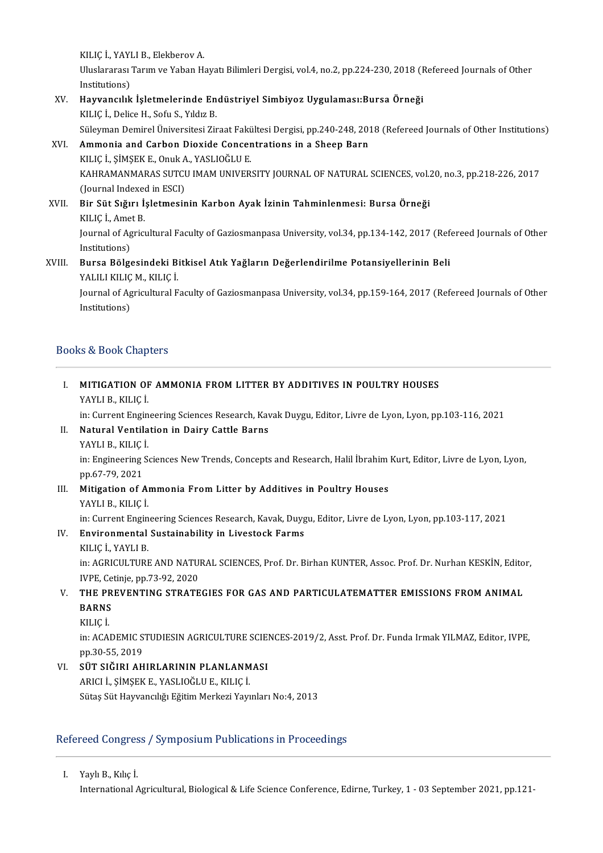KILIÇ İ., YAYLI B., Elekberov A.<br>Hiyelararası Tarım ve Yaban H Uluslararası Tarım ve Yaban Hayatı Bilimleri Dergisi, vol.4, no.2, pp.224-230, 2018 (Refereed Journals of Other<br>Institutions) KILIÇ İ., YAYI<br>Uluslararası<br>Institutions)<br>Hayyanalılı Uluslararası Tarım ve Yaban Hayatı Bilimleri Dergisi, vol.4, no.2, pp.224-230, 2018 (F<br>Institutions)<br>XV. Hayvancılık İşletmelerinde Endüstriyel Simbiyoz Uygulaması:Bursa Örneği<br>KU IS İ. Delige H. Sefu S. Vildiz B

## Institutions)<br><mark>Hayvancılık İşletmelerinde En</mark><br>KILIÇ İ., Delice H., Sofu S., Yıldız B.<br>Süleyman Demirel Üniversitesi Zir KILIÇ İ., Delice H., Sofu S., Yıldız B.<br>Süleyman Demirel Üniversitesi Ziraat Fakültesi Dergisi, pp.240-248, 2018 (Refereed Journals of Other Institutions) KILIÇ İ., Delice H., Sofu S., Yıldız B.<br>Süleyman Demirel Üniversitesi Ziraat Fakültesi Dergisi, pp.240-248, 201<br>XVI. Ammonia and Carbon Dioxide Concentrations in a Sheep Barn<br>XVI. Ammonia and Carbon Dioxide Concentrations

### Süleyman Demirel Üniversitesi Ziraat Fakü<br>**Ammonia and Carbon Dioxide Concer**<br>KILIÇ İ., ŞİMŞEK E., Onuk A., YASLIOĞLU E.<br>KAHRAMANMARAS SUTCU IMAM UNIVER. KAHRAMANMARAS SUTCU IMAM UNIVERSITY JOURNAL OF NATURAL SCIENCES, vol.20, no.3, pp.218-226, 2017<br>(Journal Indexed in ESCI) KILIÇ İ., ŞİMŞEK E., Onuk A., YASLIOĞLU E. KAHRAMANMARAS SUTCU IMAM UNIVERSITY JOURNAL OF NATURAL SCIENCES, vol.<br>(Journal Indexed in ESCI)<br>XVII. Bir Süt Sığırı İşletmesinin Karbon Ayak İzinin Tahminlenmesi: Bursa Örneği<br>KU IC İ. Amat P

### (Journal Indexee)<br>Bir Süt Sığırı İ:<br>KILIÇ İ., Amet B.<br>Journal of Agricı Bir Süt Sığırı İşletmesinin Karbon Ayak İzinin Tahminlenmesi: Bursa Örneği<br>KILIÇ İ., Amet B.<br>Journal of Agricultural Faculty of Gaziosmanpasa University, vol.34, pp.134-142, 2017 (Refereed Journals of Other<br>Institutions) KILIÇ İ., Ame<br>Journal of Ag<br>Institutions)<br>Burse Bölge Journal of Agricultural Faculty of Gaziosmanpasa University, vol.34, pp.134-142, 2017 (Ref<br>Institutions)<br>XVIII. Bursa Bölgesindeki Bitkisel Atık Yağların Değerlendirilme Potansiyellerinin Beli<br>XALIL ELLE M. ELLE İ

## Institutions)<br><mark>Bursa Bölgesindeki B</mark>i<br>YALILI KILIÇ M., KILIÇ İ.<br>Journal of Agrisultural E

Bursa Bölgesindeki Bitkisel Atık Yağların Değerlendirilme Potansiyellerinin Beli<br>YALILI KILIÇ M., KILIÇ İ.<br>Journal of Agricultural Faculty of Gaziosmanpasa University, vol.34, pp.159-164, 2017 (Refereed Journals of Other<br>I YALILI KILIÇ<br>Journal of Ag<br>Institutions)

# Institutions)<br>Books & Book Chapters

| Books & Book Chapters |                                                                                                              |
|-----------------------|--------------------------------------------------------------------------------------------------------------|
|                       | MITIGATION OF AMMONIA FROM LITTER BY ADDITIVES IN POULTRY HOUSES                                             |
|                       | YAYLI B., KILIÇ İ.                                                                                           |
|                       | in: Current Engineering Sciences Research, Kavak Duygu, Editor, Livre de Lyon, Lyon, pp.103-116, 2021        |
| П.                    | Natural Ventilation in Dairy Cattle Barns                                                                    |
|                       | YAYLI B., KILIÇ İ.                                                                                           |
|                       | in: Engineering Sciences New Trends, Concepts and Research, Halil İbrahim Kurt, Editor, Livre de Lyon, Lyon, |
|                       | $m \times 7.70.201$                                                                                          |

YAYLI B., KILIÇ<br>in: Engineering !<br>pp.67-79, 2021<br>Mitigation of A in: Engineering Sciences New Trends, Concepts and Research, Halil İbrahim<br>pp.67-79, 2021<br>III. Mitigation of Ammonia From Litter by Additives in Poultry Houses<br>NAVLI R. KU.IC. İ

## pp.67-79, 2021<br>Mitigation of Ammonia From Litter by Additives in Poultry Houses<br>YAYLI B., KILIÇ İ.

in: Current Engineering Sciences Research, Kavak, Duygu, Editor, Livre de Lyon, Lyon, pp.103-117, 2021

### IV. Environmental Sustainability in Livestock Farms

KILIÇİ.,YAYLIB. Environmental Sustainability in Livestock Farms<br>KILIÇ İ., YAYLI B.<br>in: AGRICULTURE AND NATURAL SCIENCES, Prof. Dr. Birhan KUNTER, Assoc. Prof. Dr. Nurhan KESKİN, Editor,<br>IVPE. Cetinia.pp.73.92.2020 KILIÇ İ., YAYLI B.<br>in: AGRICULTURE AND NATUI<br>IVPE, Cetinje, pp.73-92, 2020<br>THE PREVENTING STRATE in: AGRICULTURE AND NATURAL SCIENCES, Prof. Dr. Birhan KUNTER, Assoc. Prof. Dr. Nurhan KESKİN, Edito<br>IVPE, Cetinje, pp.73-92, 2020<br>V. THE PREVENTING STRATEGIES FOR GAS AND PARTICULATEMATTER EMISSIONS FROM ANIMAL

## IVPE, Ce<br>THE PR<br>BARNS<br><sup>VILIC I</sup> THE PI<br>BARNS<br>KILIÇ İ.

BARNS<br>KILIÇ İ.<br>in: ACADEMIC STUDIESIN AGRICULTURE SCIENCES-2019/2, Asst. Prof. Dr. Funda Irmak YILMAZ, Editor, IVPE,<br>pp.20.55. 2019. KILIÇ İ.<br>in: ACADEMIC S'<br>pp.30-55, 2019<br>sür sığıpı AH in: ACADEMIC STUDIESIN AGRICULTURE SCIEN<br>pp.30-55, 2019<br>VI. SÜT SIĞIRI AHIRLARININ PLANLANMASI

pp.30-55, 2019<br><mark>SÜT SIĞIRI AHIRLARININ PLANLANM</mark><br>ARICI İ., ŞİMŞEK E., YASLIOĞLU E., KILIÇ İ.<br>Sütes Süt Hayyanglığı Eğitim Markari Your ARICI İ., ŞİMŞEK E., YASLIOĞLU E., KILIÇ İ.<br>Sütaş Süt Hayvancılığı Eğitim Merkezi Yayınları No:4, 2013

### Refereed Congress / Symposium Publications in Proceedings

I. YaylıB.,Kılıç İ. International Agricultural, Biological & Life Science Conference, Edirne, Turkey, 1 - 03 September 2021, pp.121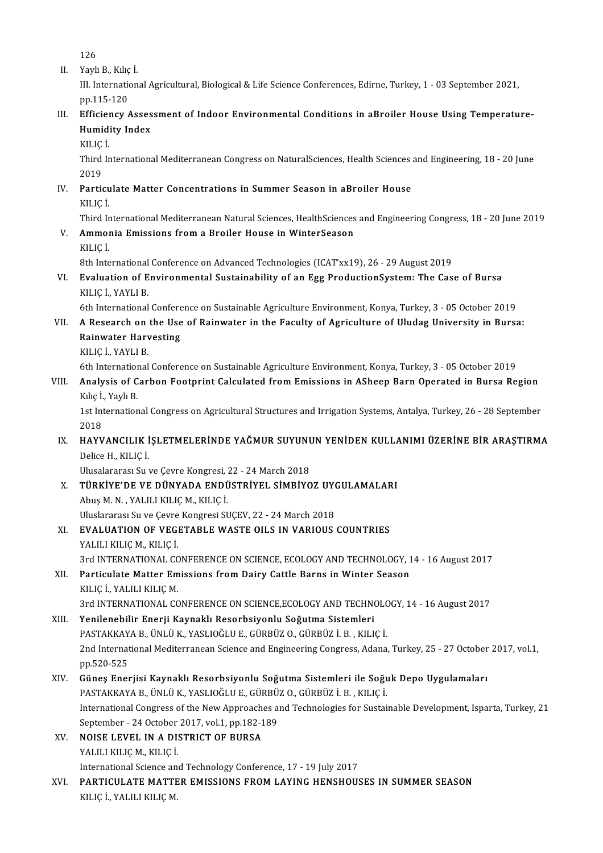126

126<br>II. Yaylı B., Kılıç İ.<br>III. Internation

III. International Agricultural, Biological & Life Science Conferences, Edirne, Turkey, 1 - 03 September 2021, pp.115-120 Yaylı B., Kılıç<br>III. Internatio<br>pp.115-120<br>Efficionay III. International Agricultural, Biological & Life Science Conferences, Edirne, Turkey, 1 - 03 September 2021,<br>pp.115-120<br>III. Efficiency Assessment of Indoor Environmental Conditions in aBroiler House Using Temperature-

pp.115-120<br>Efficiency Asses<br>Humidity Index<br><sup>VU IC İ</sup> <mark>Efficie</mark><br>Humid<br>KILIÇ İ.<br>Third Ir

KILIÇ İ.

Humidity Index<br>KILIÇ İ.<br>Third International Mediterranean Congress on NaturalSciences, Health Sciences and Engineering, 18 - 20 June<br>2019 Third International Mediterranean Congress on NaturalSciences, Health Sciences<br>2019<br>IV. Particulate Matter Concentrations in Summer Season in aBroiler House<br>VILIC İ

2019<br>Particu<br>KILIÇ İ.<br>Third Ir

KILIÇ İ.<br>Third International Mediterranean Natural Sciences, HealthSciences and Engineering Congress, 18 - 20 June 2019

V. Ammonia Emissions from a Broiler House in WinterSeason KILIÇİ. Ammonia Emissions from a Broiler House in WinterSeason<br>KILIÇ İ.<br>8th International Conference on Advanced Technologies (ICAT'xx19), 26 - 29 August 2019<br>Evalustion of Environmental Sustainability of an Egg ProductionSystem:

VI. Evaluation of Environmental Sustainability of an Egg ProductionSystem: The Case of Bursa 8th International<br>Evaluation of E<br>KILIÇ İ., YAYLI B.<br><sup>6th International</sup>

6th International Conference on Sustainable Agriculture Environment, Konya, Turkey, 3 - 05 October 2019

- KILIÇ İ., YAYLI B.<br>6th International Conference on Sustainable Agriculture Environment, Konya, Turkey, 3 05 October 2019<br>7. A Research on the Use of Rainwater in the Faculty of Agriculture of Uludag University in Bursa:<br> 6th International Confere<br>A Research on the Use<br>Rainwater Harvesting<br><sup>VILIC I</sup> YAVLI P A Research on<br>Rainwater Harv<br>KILIÇ İ., YAYLI B.<br><sup>6th International</sup> Rainwater Harvesting<br>KILIÇ İ., YAYLI B.<br>6th International Conference on Sustainable Agriculture Environment, Konya, Turkey, 3 - 05 October 2019
	-

KILIÇ İ., YAYLI B.<br>6th International Conference on Sustainable Agriculture Environment, Konya, Turkey, 3 - 05 October 2019<br>7the Lydes Carbon Footprint Calculated from Emissions in ASheep Barn Operated in Bursa Region<br>8the 6th Internation<br>Analysis of C<br>Kılıç İ., Yaylı B.<br>1st Internation Analysis of Carbon Footprint Calculated from Emissions in ASheep Barn Operated in Bursa Region<br>Kılıç İ., Yaylı B.<br>1st International Congress on Agricultural Structures and Irrigation Systems, Antalya, Turkey, 26 - 28 Septe

Kılıç İ., Yaylı B.<br>1st International Congress on Agricultural Structures and Irrigation Systems, Antalya, Turkey, 26 - 28 September<br>2018 1st International Congress on Agricultural Structures and Irrigation Systems, Antalya, Turkey, 26 - 28 September<br>2018<br>IX. HAYVANCILIK İŞLETMELERİNDE YAĞMUR SUYUNUN YENİDEN KULLANIMI ÜZERİNE BİR ARAŞTIRMA<br>Delige Hekleri

## 2018<br>H<mark>AYVANCILIK İ</mark><br>Delice H., KILIÇ İ.<br>Ulucalararacı Su HAYVANCILIK İŞLETMELERİNDE YAĞMUR SUYUNU<br>Delice H., KILIÇ İ.<br>Ulusalararası Su ve Çevre Kongresi, 22 - 24 March 2018<br>TÜRKİYE'DE VE DÜNYADA ENDÜSTRİYEL SİMRİYO

- Delice H., KILIÇ İ.<br>Ulusalararası Su ve Çevre Kongresi, 22 24 March 2018<br>X. TÜRKİYE'DE VE DÜNYADA ENDÜSTRİYEL SİMBİYOZ UYGULAMALARI<br>Abus M. N. , YALILI KILIC M., KILIC İ. Ulusalararası Su ve Çevre Kongresi, <mark>:</mark><br>**TÜRKİYE'DE VE DÜNYADA ENDÜ**<br>Abuş M. N. , YALILI KILIÇ M., KILIÇ İ.<br>Hluslararası Su ve Gayra Kongresi SI TÜRKİYE'DE VE DÜNYADA ENDÜSTRİYEL SİMBİYOZ UYO<br>Abuş M. N. , YALILI KILIÇ M., KILIÇ İ.<br>Uluslararası Su ve Çevre Kongresi SUÇEV, 22 - 24 March 2018<br>EVALUATION OE VECETABLE WASTE OU S IN VABIOUS
- XI. EVALUATION OF VEGETABLE WASTE OILS IN VARIOUS COUNTRIES YALILI KILIÇ M., KILIÇ İ. Uluslararası Su ve Çevre<br>**EVALUATION OF VEG**I<br>YALILI KILIÇ M., KILIÇ İ.<br><sup>2</sup>rd INTERNATIONAL *C*C EVALUATION OF VEGETABLE WASTE OILS IN VARIOUS COUNTRIES<br>YALILI KILIÇ M., KILIÇ İ.<br>3rd INTERNATIONAL CONFERENCE ON SCIENCE, ECOLOGY AND TECHNOLOGY, 14 - 16 August 2017<br>Partiqulate Matter Emissions from Dairy Cattle Barns in

YALILI KILIÇ M., KILIÇ İ.<br>3rd INTERNATIONAL CONFERENCE ON SCIENCE, ECOLOGY AND TECHNOLOGY, 1<br>XII. – Particulate Matter Emissions from Dairy Cattle Barns in Winter Season<br>KILIC İ. YALILI KILIC M 3rd INTERNATIONAL CC<br>Particulate Matter Em<br>KILIÇ İ., YALILI KILIÇ M.<br>2rd INTERNATIONAL CC Particulate Matter Emissions from Dairy Cattle Barns in Winter Season<br>KILIÇ İ., YALILI KILIÇ M.<br>3rd INTERNATIONAL CONFERENCE ON SCIENCE,ECOLOGY AND TECHNOLOGY, 14 - 16 August 2017<br>Yanilanebilir Enerii Kaunaklı Beserbsiyanl

KILIÇ İ., YALILI KILIÇ M.<br>3rd INTERNATIONAL CONFERENCE ON SCIENCE,ECOLOGY AND TECHNO<br>XIII. Yenilenebilir Enerji Kaynaklı Resorbsiyonlu Soğutma Sistemleri<br>PASTAKKAYA P. ÜNLÜ K. YASLIQĞLU E. CÜPPÜZ Q. CÜPPÜZ İ. P. KUJ 3rd INTERNATIONAL CONFERENCE ON SCIENCE,ECOLOGY AND TECHNOLO<br>Yenilenebilir Enerji Kaynaklı Resorbsiyonlu Soğutma Sistemleri<br>PASTAKKAYA B., ÜNLÜ K., YASLIOĞLU E., GÜRBÜZ O., GÜRBÜZ İ.B. , KILIÇ İ.<br>2nd International Mediterr Yenilenebilir Enerji Kaynaklı Resorbsiyonlu Soğutma Sistemleri<br>PASTAKKAYA B., ÜNLÜ K., YASLIOĞLU E., GÜRBÜZ O., GÜRBÜZ İ. B. , KILIÇ İ.<br>2nd International Mediterranean Science and Engineering Congress, Adana, Turkey, 25 - PASTAKKAY<br>2nd Internat<br>pp.520-525<br>Günes Ener 2nd International Mediterranean Science and Engineering Congress, Adana, Turkey, 25 - 27 October<br>pp.520-525<br>XIV. Güneş Enerjisi Kaynaklı Resorbsiyonlu Soğutma Sistemleri ile Soğuk Depo Uygulamaları<br>pastavyaya pelini ili ve pp.520-525<br>XIV. — Güneş Enerjisi Kaynaklı Resorbsiyonlu Soğutma Sistemleri ile Soğuk Depo Uygulamaları

- International Congress of the New Approaches and Technologies for Sustainable Development, Isparta, Turkey, 21<br>September 24 October 2017, vol.1, pp.182-189 PASTAKKAYA B., ÜNLÜ K., YASLIOĞLU E., GÜRBÜZ O., GÜRBÜZ İ. B., KILIÇ İ. International Congress of the New Approach<br>September - 24 October 2017, vol.1, pp.182-1<br>XV. NOISE LEVEL IN A DISTRICT OF BURSA
- September 24 October<br>NOISE LEVEL IN A DI:<br>YALILI KILIÇ M., KILIÇ İ.<br>International Science an YALILI KILIÇ M., KILIÇ İ.<br>International Science and Technology Conference, 17 - 19 July 2017
- YALILI KILIÇ M., KILIÇ İ.<br>International Science and Technology Conference, 17 19 July 2017<br>XVI. PARTICULATE MATTER EMISSIONS FROM LAYING HENSHOUSES IN SUMMER SEASON<br>XVI.IC İ. YALILI KILIÇ M International Science an<br>PARTICULATE MATTE<br>KILIÇ İ., YALILI KILIÇ M.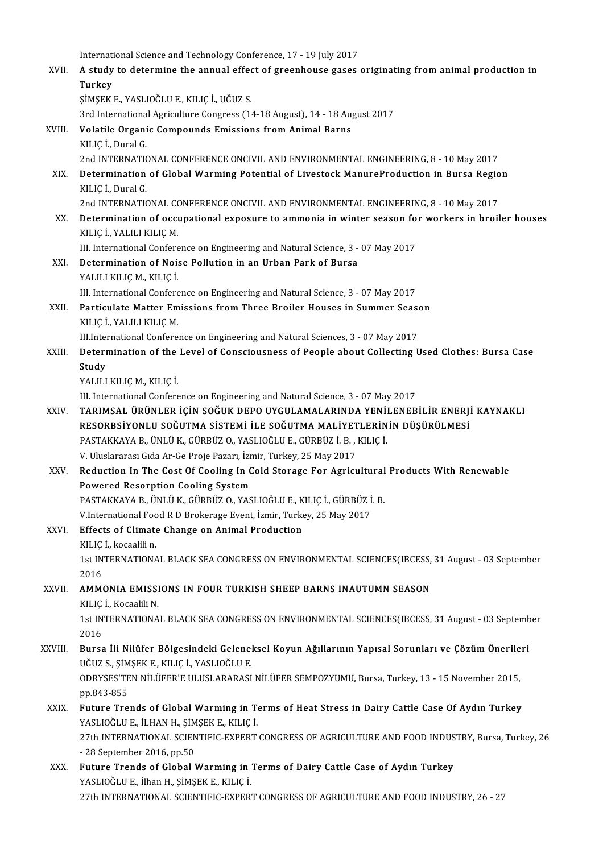International Science and Technology Conference, 17 - 19 July 2017<br>A study to determine the ennual effect of greenhouse geoge XVII. A study to determine the annual effect of greenhouse gases originating from animal production in<br>Turkey Internati<br>A study<br>Turkey<br>simsey ŞİMŞEKE.,YASLIOĞLUE.,KILIÇİ.,UĞUZ S. <mark>Turkey</mark><br>ŞİMŞEK E., YASLIOĞLU E., KILIÇ İ., UĞUZ S.<br>3rd International Agriculture Congress (14-18 August), 14 - 18 August 2017<br>Velatile Organis Compounds Emissions from Animal Barns XVIII. Volatile Organic Compounds Emissions from Animal Barns<br>KILIC İ., Dural G. 3rd Internationa<br>Vol<mark>atile Organi</mark><br>KILIÇ İ., Dural G.<br>2nd INTERNATIG 2nd INTERNATIONAL CONFERENCE ONCIVIL AND ENVIRONMENTAL ENGINEERING, 8 - 10 May 2017 KILIÇ İ., Dural G.<br>2nd INTERNATIONAL CONFERENCE ONCIVIL AND ENVIRONMENTAL ENGINEERING, 8 - 10 May 2017<br>XIX. Determination of Global Warming Potential of Livestock ManureProduction in Bursa Region<br>KILIC İ. Dural C 2nd INTERNATION<br>Determination<br>KILIÇ İ., Dural G.<br>2nd INTERNATIO Determination of Global Warming Potential of Livestock ManureProduction in Bursa Regio<br>KILIÇ İ., Dural G.<br>2nd INTERNATIONAL CONFERENCE ONCIVIL AND ENVIRONMENTAL ENGINEERING, 8 - 10 May 2017<br>Determination of oscunational ex KILIÇ İ., Dural G.<br>2nd INTERNATIONAL CONFERENCE ONCIVIL AND ENVIRONMENTAL ENGINEERING, 8 - 10 May 2017<br>XX. Determination of occupational exposure to ammonia in winter season for workers in broiler houses KILIÇİ.,YALILIKILIÇM. Determination of occupational exposure to ammonia in winter season fo<br>KILIÇ İ., YALILI KILIÇ M.<br>III. International Conference on Engineering and Natural Science, 3 - 07 May 2017<br>Determination of Noise Bollution in an Urban XXI. Determination of Noise Pollution in an Urban Park of Bursa<br>YALILI KILIÇ M., KILIÇ İ. III. International Confere<br>Determination of Nois<br>YALILI KILIÇ M., KILIÇ İ.<br>III. International Confere Determination of Noise Pollution in an Urban Park of Bursa<br>YALILI KILIÇ M., KILIÇ İ.<br>III. International Conference on Engineering and Natural Science, 3 - 07 May 2017<br>Partiqulate Matter Emissions from Three Proiler Houses XXII. Particulate Matter Emissions from Three Broiler Houses in Summer Season<br>KILIC İ., YALILI KILIC M. III. International Confere<br>Particulate Matter Em<br>KILIÇ İ., YALILI KILIÇ M.<br>III International Confere Particulate Matter Emissions from Three Broiler Houses in Summer Sease<br>KILIÇ İ., YALILI KILIÇ M.<br>III.International Conference on Engineering and Natural Sciences, 3 - 07 May 2017<br>Petermination of the Lavel of Conssignances KILIÇ İ., YALILI KILIÇ M.<br>III.International Conference on Engineering and Natural Sciences, 3 - 07 May 2017<br>XXIII. Determination of the Level of Consciousness of People about Collecting Used Clothes: Bursa Case<br>Study III.Inte<mark><br>Deterr</mark><br>Study<br>VALUI Determination of the<br>Study<br>YALILI KILIÇ M., KILIÇ İ.<br>III. International Conforc Study<br>YALILI KILIÇ M., KILIÇ İ.<br>III. International Conference on Engineering and Natural Science, 3 - 07 May 2017 YALILI KILIÇ M., KILIÇ İ.<br>III. International Conference on Engineering and Natural Science, 3 - 07 May 2017<br>XXIV. TARIMSAL ÜRÜNLER İÇİN SOĞUK DEPO UYGULAMALARINDA YENİLENEBİLİR ENERJİ KAYNAKLI<br>RESORRSİYONLU SOĞUTMA SİS III. International Conference on Engineering and Natural Science, 3 - 07 May 2017<br>TARIMSAL ÜRÜNLER İÇİN SOĞUK DEPO UYGULAMALARINDA YENİLENEBİLİR ENERJİ<br>RESORBSİYONLU SOĞUTMA SİSTEMİ İLE SOĞUTMA MALİYETLERİNİN DÜŞÜRÜLMESİ<br>R TARIMSAL ÜRÜNLER İÇİN SOĞUK DEPO UYGULAMALARINDA YENİ<br>RESORBSİYONLU SOĞUTMA SİSTEMİ İLE SOĞUTMA MALİYETLERİN<br>PASTAKKAYA B., ÜNLÜ K., GÜRBÜZ O., YASLIOĞLU E., GÜRBÜZ İ. B. , KILIÇ İ.<br>V. Uluslararası Çıda Ar Ce Praja Bazarı RESORBSİYONLU SOĞUTMA SİSTEMİ İLE SOĞUTMA MALİYETLERİNİN DÜŞÜRÜLMESİ<br>PASTAKKAYA B., ÜNLÜ K., GÜRBÜZ O., YASLIOĞLU E., GÜRBÜZ İ. B. , KILIÇ İ.<br>V. Uluslararası Gıda Ar-Ge Proje Pazarı, İzmir, Turkey, 25 May 2017 PASTAKKAYA B., ÜNLÜ K., GÜRBÜZ O., YASLIOĞLU E., GÜRBÜZ İ. B. , KILIÇ İ.<br>V. Uluslararası Gıda Ar-Ge Proje Pazarı, İzmir, Turkey, 25 May 2017<br>XXV. Reduction In The Cost Of Cooling In Cold Storage For Agricultural Produc **V. Uluslararası Gıda Ar-Ge Proje Pazarı, İzn<br>Reduction In The Cost Of Cooling In C<br>Powered Resorption Cooling System**<br>PASTAKKAYA P. ÜNUÜ K. CÜRRÜZ O. YAS Reduction In The Cost Of Cooling In Cold Storage For Agricultural<br>Powered Resorption Cooling System<br>PASTAKKAYA B., ÜNLÜ K., GÜRBÜZ O., YASLIOĞLU E., KILIÇ İ., GÜRBÜZ İ. B.<br>V International Food P.D Prokarage Fyont İsmir Tur Powered Resorption Cooling System<br>PASTAKKAYA B., ÜNLÜ K., GÜRBÜZ O., YASLIOĞLU E., KILIÇ İ., GÜRBÜZ İ<br>V.International Food R D Brokerage Event, İzmir, Turkey, 25 May 2017<br>Effects of Climate Change en Animal Production PASTAKKAYA B., ÜNLÜ K., GÜRBÜZ O., YASLIOĞLU E., K<br>V.International Food R D Brokerage Event, İzmir, Turke<br>XXVI. Effects of Climate Change on Animal Production V.International Food R D Brokerage Event, İzmir, Turkey, 25 May 2017<br>XXVI. Effects of Climate Change on Animal Production<br>KILIÇ İ., kocaalili n. Effects of Climate Change on Animal Production<br>KILIÇ İ., kocaalili n.<br>1st INTERNATIONAL BLACK SEA CONGRESS ON ENVIRONMENTAL SCIENCES(IBCESS, 31 August - 03 September<br>2016 KILIÇ<br>1st IN<br>2016<br>AMM 1st INTERNATIONAL BLACK SEA CONGRESS ON ENVIRONMENTAL SCIENCES(IBCESS,<br>2016<br>XXVII. – **AMMONIA EMISSIONS IN FOUR TURKISH SHEEP BARNS INAUTUMN SEASON** 2016<br>XXVII. – **AMMONIA EMISSIONS IN FOUR TURKISH SHEEP BARNS INAUTUMN SEASON**<br>KILIÇ İ., Kocaalili N. AMMONIA EMISSIONS IN FOUR TURKISH SHEEP BARNS INAUTUMN SEASON<br>KILIÇ İ., Kocaalili N.<br>1st INTERNATIONAL BLACK SEA CONGRESS ON ENVIRONMENTAL SCIENCES(IBCESS, 31 August - 03 September<br>2016 KILIÇ<br>1st IN<br>2016<br>Pursa 1st INTERNATIONAL BLACK SEA CONGRESS ON ENVIRONMENTAL SCIENCES(IBCESS, 31 August - 03 Septemb<br>2016<br>XXVIII. Bursa İli Nilüfer Bölgesindeki Geleneksel Koyun Ağıllarının Yapısal Sorunları ve Çözüm Önerileri<br>11 Nilüfer Songek 2016<br>Bursa İli Nilüfer Bölgesindeki Gelenel<br>UĞUZ S., ŞİMŞEK E., KILIÇ İ., YASLIOĞLU E.<br>ODRYSESTEN NİLÜEER'E ULUSLARASI Bursa İli Nilüfer Bölgesindeki Geleneksel Koyun Ağıllarının Yapısal Sorunları ve Çözüm Önerile<br>UĞUZ S., ŞİMŞEK E., KILIÇ İ., YASLIOĞLU E.<br>ODRYSES'TEN NİLÜFER'E ULUSLARARASI NİLÜFER SEMPOZYUMU, Bursa, Turkey, 13 - 15 Novemb UĞUZ S., ŞİM<br>ODRYSES'TE<br>pp.843-855<br>Euture Tre ODRYSES'TEN NILÜFER'E ULUSLARARASI NILÜFER SEMPOZYUMU, Bursa, Turkey, 13 - 15 November 2015,<br>pp.843-855<br>XXIX. Future Trends of Global Warming in Terms of Heat Stress in Dairy Cattle Case Of Aydın Turkey<br>XASLIQĞLU E İLHAN H pp.843-855<br>Future Trends of Global Warming in Terms of Heat Stress in Dairy Cattle Case Of Aydın Turkey<br>YASLIOĞLU E., İLHAN H., SİMSEK E., KILIÇ İ. Future Trends of Global Warming in Terms of Heat Stress in Dairy Cattle Case Of Aydın Turkey<br>YASLIOĞLU E., İLHAN H., ŞİMŞEK E., KILIÇ İ.<br>27th INTERNATIONAL SCIENTIFIC-EXPERT CONGRESS OF AGRICULTURE AND FOOD INDUSTRY, Bursa YASLIOĞLU E., İLHAN H., ŞİM<br>27th INTERNATIONAL SCIEN<br>- 28 September 2016, pp.50<br>Eutung Trands of Clobal N 27th INTERNATIONAL SCIENTIFIC-EXPERT CONGRESS OF AGRICULTURE AND FOOD INDUS<br>- 28 September 2016, pp.50<br>XXX. Future Trends of Global Warming in Terms of Dairy Cattle Case of Aydın Turkey<br>- YASI IQČLU E, İlban H. SİMSEK E. K - 28 September 2016, pp.50<br>Future Trends of Global Warming in '<br>YASLIOĞLU E., İlhan H., ŞİMŞEK E., KILIÇ İ.<br>27th INTERNATIONAL SCIENTIEIC EXPER' Future Trends of Global Warming in Terms of Dairy Cattle Case of Aydın Turkey<br>YASLIOĞLU E., İlhan H., ŞİMŞEK E., KILIÇ İ.<br>27th INTERNATIONAL SCIENTIFIC-EXPERT CONGRESS OF AGRICULTURE AND FOOD INDUSTRY, 26 - 27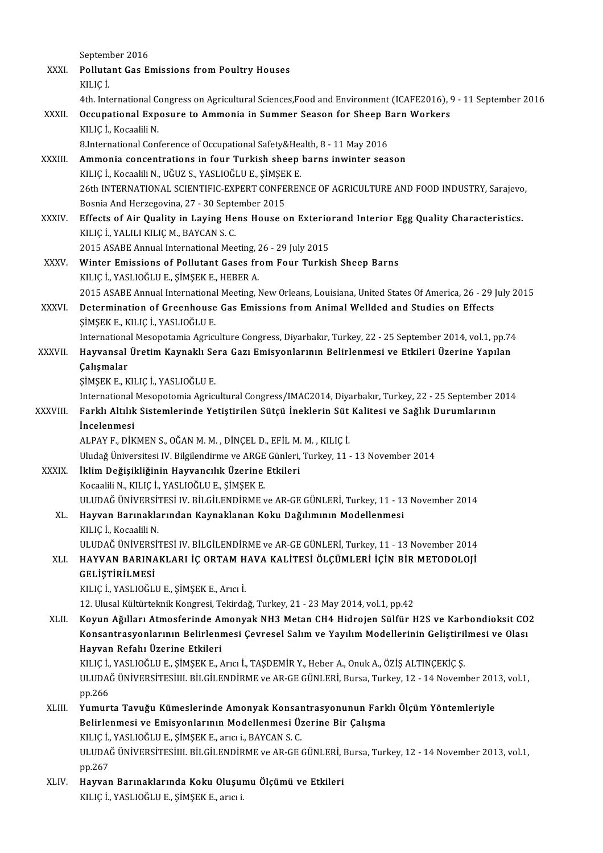|          | September 2016                                                                                                |
|----------|---------------------------------------------------------------------------------------------------------------|
| XXXI.    | <b>Pollutant Gas Emissions from Poultry Houses</b>                                                            |
|          | KILIÇ İ.                                                                                                      |
|          | 4th. International Congress on Agricultural Sciences, Food and Environment (ICAFE2016), 9 - 11 September 2016 |
| XXXII.   | Occupational Exposure to Ammonia in Summer Season for Sheep Barn Workers                                      |
|          | KILIÇ İ, Kocaalili N.                                                                                         |
|          | 8. International Conference of Occupational Safety&Health, 8 - 11 May 2016                                    |
| XXXIII.  | Ammonia concentrations in four Turkish sheep barns inwinter season                                            |
|          | KILIÇ İ., Kocaalili N., UĞUZ S., YASLIOĞLU E., ŞİMŞEK E.                                                      |
|          | 26th INTERNATIONAL SCIENTIFIC-EXPERT CONFERENCE OF AGRICULTURE AND FOOD INDUSTRY, Sarajevo,                   |
|          | Bosnia And Herzegovina, 27 - 30 September 2015                                                                |
| XXXIV    | Effects of Air Quality in Laying Hens House on Exteriorand Interior Egg Quality Characteristics.              |
|          | KILIÇ İ., YALILI KILIÇ M., BAYCAN S.C.                                                                        |
|          | 2015 ASABE Annual International Meeting, 26 - 29 July 2015                                                    |
| XXXV.    | Winter Emissions of Pollutant Gases from Four Turkish Sheep Barns                                             |
|          | KILIÇ İ., YASLIOĞLU E., ŞİMŞEK E., HEBER A.                                                                   |
|          | 2015 ASABE Annual International Meeting, New Orleans, Louisiana, United States Of America, 26 - 29 July 2015  |
| XXXVI.   | Determination of Greenhouse Gas Emissions from Animal Wellded and Studies on Effects                          |
|          | ŞİMŞEK E , KILIÇ İ , YASLIOĞLU E.                                                                             |
|          | International Mesopotamia Agriculture Congress, Diyarbakır, Turkey, 22 - 25 September 2014, vol.1, pp.74      |
| XXXVII.  | Hayvansal Üretim Kaynaklı Sera Gazı Emisyonlarının Belirlenmesi ve Etkileri Üzerine Yapılan                   |
|          | Çalışmalar                                                                                                    |
|          | ŞİMŞEK E., KILIÇ İ., YASLIOĞLU E.                                                                             |
|          | International Mesopotomia Agricultural Congress/IMAC2014, Diyarbakır, Turkey, 22 - 25 September 2014          |
| XXXVIII. | Farklı Altılık Sistemlerinde Yetiştirilen Sütçü İneklerin Süt Kalitesi ve Sağlık Durumlarının                 |
|          | Incelenmesi<br>ALPAY F., DİKMEN S., OĞAN M. M., DİNÇEL D., EFİL M. M., KILIÇ İ.                               |
|          | Uludağ Üniversitesi IV. Bilgilendirme ve ARGE Günleri, Turkey, 11 - 13 November 2014                          |
| XXXIX.   | İklim Değişikliğinin Hayvancılık Üzerine Etkileri                                                             |
|          | Kocaalili N., KILIÇ İ., YASLIOĞLU E., ŞİMŞEK E.                                                               |
|          | ULUDAĞ ÜNIVERSITESI IV. BİLGİLENDİRME ve AR-GE GÜNLERİ, Turkey, 11 - 13 November 2014                         |
| XL.      | Hayvan Barınaklarından Kaynaklanan Koku Dağılımının Modellenmesi                                              |
|          | KILIÇ İ, Kocaalili N.                                                                                         |
|          | ULUDAĞ ÜNIVERSITESI IV. BILGILENDIRME ve AR-GE GÜNLERİ, Turkey, 11 - 13 November 2014                         |
| XLI.     | HAYVAN BARINAKLARI İÇ ORTAM HAVA KALİTESİ ÖLÇÜMLERİ İÇİN BİR METODOLOJİ                                       |
|          | GELİŞTİRİLMESİ                                                                                                |
|          | KILIÇ İ., YASLIOĞLU E., ŞİMŞEK E., Arıcı İ.                                                                   |
|          | 12. Ulusal Kültürteknik Kongresi, Tekirdağ, Turkey, 21 - 23 May 2014, vol.1, pp.42                            |
| XLII.    | Koyun Ağılları Atmosferinde Amonyak NH3 Metan CH4 Hidrojen Sülfür H2S ve Karbondioksit CO2                    |
|          | Konsantrasyonlarının Belirlenmesi Çevresel Salım ve Yayılım Modellerinin Geliştirilmesi ve Olası              |
|          | Hayvan Refahı Üzerine Etkileri                                                                                |
|          | KILIÇ İ., YASLIOĞLU E., ŞİMŞEK E., Arıcı İ., TAŞDEMİR Y., Heber A., Onuk A., ÖZİŞ ALTINÇEKİÇ Ş.               |
|          | ULUDAĞ ÜNIVERSİTESİIII. BİLGİLENDİRME ve AR-GE GÜNLERİ, Bursa, Turkey, 12 - 14 November 2013, vol.1,          |
|          | pp 266                                                                                                        |
| XLIII.   | Yumurta Tavuğu Kümeslerinde Amonyak Konsantrasyonunun Farklı Ölçüm Yöntemleriyle                              |
|          | Belirlenmesi ve Emisyonlarının Modellenmesi Üzerine Bir Çalışma                                               |
|          | KILIÇ İ., YASLIOĞLU E., ŞİMŞEK E., arıcı i., BAYCAN S. C.                                                     |
|          | ULUDAĞ ÜNIVERSİTESİIII. BİLGİLENDİRME ve AR-GE GÜNLERİ, Bursa, Turkey, 12 - 14 November 2013, vol.1,          |
|          | pp 267                                                                                                        |
| XLIV.    | Hayvan Barınaklarında Koku Oluşumu Ölçümü ve Etkileri<br>KILIÇ İ., YASLIOĞLU E., ŞİMŞEK E., arıcı i.          |
|          |                                                                                                               |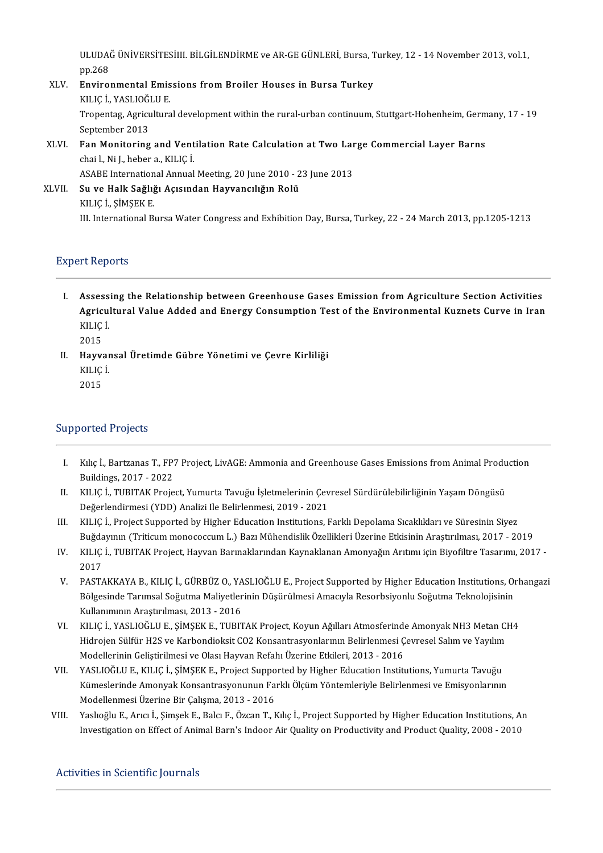ULUDAĞ ÜNİVERSİTESİIII. BİLGİLENDİRME ve AR-GE GÜNLERİ, Bursa, Turkey, 12 - 14 November 2013, vol.1,<br>pp.269 ULUDA)<br>pp.268<br>Enviro ULUDAĞ ÜNİVERSİTESİIII. BİLGİLENDİRME ve AR-GE GÜNLERİ, Bursa, T<br>pp.268<br>XLV. Environmental Emissions from Broiler Houses in Bursa Turkey<br>KUJCİ, YASLIQĞLUE

- pp.268<br>Environmental Emissions from Broiler Houses in Bursa Turkey<br>KILIC İ. YASLIOĞLU E. Environmental Emissions from Broiler Houses in Bursa Turkey<br>KILIÇ İ., YASLIOĞLU E.<br>Tropentag, Agricultural development within the rural-urban continuum, Stuttgart-Hohenheim, Germany, 17 - 19<br>Sentember 2012 KILIÇ İ., YASLIOĞI<br>Tropentag, Agricu<br>September 2013<br>Fan Monitoring Tropentag, Agricultural development within the rural-urban continuum, Stuttgart-Hohenheim, Germ<br>September 2013<br>XLVI. Fan Monitoring and Ventilation Rate Calculation at Two Large Commercial Layer Barns<br>chail Ni Labbara, KUC
- September 2013<br>**Fan Monitoring and Vent**<br>chai l., Ni J., heber a., KILIÇ İ.<br>ASAPE International Annual Fan Monitoring and Ventilation Rate Calculation at Two Lar<br>chai l., Ni J., heber a., KILIÇ İ.<br>ASABE International Annual Meeting, 20 June 2010 - 23 June 2013<br>Su ve Halk Sağlığı Asısından Hayyançılığın Balü

chai l., Ni J., heber a., KILIÇ İ.<br>ASABE International Annual Meeting, 20 June 2010 - 2<br>XLVII. Su ve Halk Sağlığı Açısından Hayvancılığın Rolü<br>YILIC İ. SİMSEK E ASABE Internation<br>Su ve Halk Sağlığ<br>KILIÇ İ., ŞİMŞEK E.<br>III. International B. KILIÇ İ., ŞİMŞEK E.<br>III. International Bursa Water Congress and Exhibition Day, Bursa, Turkey, 22 - 24 March 2013, pp.1205-1213

### **Expert Reports**

- I. Assessing the Relationship between Greenhouse Gases Emission from Agriculture Section Activities Assessing the Relationship between Greenhouse Gases Emission from Agriculture Section Activities<br>Agricultural Value Added and Energy Consumption Test of the Environmental Kuznets Curve in Iran<br>KU IC İ Assess<br>Agricu<br>KILIÇ İ. Agric<br>KILIÇ<br>2015<br>Hayv
- KILIÇ İ.<br>2015<br>II. Hayvansal Üretimde Gübre Yönetimi ve Çevre Kirliliği<br>KUJC İ 2015<br>Hayvar<br>KILIÇ İ. Hayva<br>KILIÇ<br>2015

# 2015<br>Supported Projects

- upported Projects<br>I. Kılıç İ., Bartzanas T., FP7 Project, LivAGE: Ammonia and Greenhouse Gases Emissions from Animal Production<br>Ruildings, 2017, 2022 Kılıç İ., Bartzanas T., FP.<br>Buildings, 2017 - 2022<br>KULC İ. TUPITAK Preje I. Kılıç İ., Bartzanas T., FP7 Project, LivAGE: Ammonia and Greenhouse Gases Emissions from Animal Produ<br>Buildings, 2017 - 2022<br>II. KILIÇ İ., TUBITAK Project, Yumurta Tavuğu İşletmelerinin Çevresel Sürdürülebilirliğinin Ya
- Buildings, 2017 2022<br>KILIÇ İ., TUBITAK Project, Yumurta Tavuğu İşletmelerinin Çev<br>Değerlendirmesi (YDD) Analizi Ile Belirlenmesi, 2019 2021<br>KU IC İ. Project Sunnarted bu Hirber Education Institutions, E II. KILIÇ İ., TUBITAK Project, Yumurta Tavuğu İşletmelerinin Çevresel Sürdürülebilirliğinin Yaşam Döngüsü<br>Değerlendirmesi (YDD) Analizi Ile Belirlenmesi, 2019 - 2021<br>III. KILIÇ İ., Project Supported by Higher Education Ins
- Beğerlendirmesi (YDD) Analizi Ile Belirlenmesi, 2019 2021<br>KILIÇ İ., Project Supported by Higher Education Institutions, Farklı Depolama Sıcaklıkları ve Süresinin Siyez<br>Buğdayının (Triticum monococcum L.) Bazı Mühendislik III. KILIÇ İ., Project Supported by Higher Education Institutions, Farklı Depolama Sıcaklıkları ve Süresinin Siyez<br>Buğdayının (Triticum monococcum L.) Bazı Mühendislik Özellikleri Üzerine Etkisinin Araştırılması, 2017 - 20
- Buğda<br>KILIÇ<br>2017 V. KILIÇ İ., TUBITAK Project, Hayvan Barınaklarından Kaynaklanan Amonyağın Arıtımı için Biyofiltre Tasarımı, 2017 -<br>2017<br>V. PASTAKKAYA B., KILIÇ İ., GÜRBÜZ O., YASLIOĞLU E., Project Supported by Higher Education Institutio
- 2017<br>PASTAKKAYA B., KILIÇ İ., GÜRBÜZ O., YASLIOĞLU E., Project Supported by Higher Education Institutions, Oı<br>Bölgesinde Tarımsal Soğutma Maliyetlerinin Düşürülmesi Amacıyla Resorbsiyonlu Soğutma Teknolojisinin<br>Kullanımını PASTAKKAYA B., KILIÇ İ., GÜRBÜZ O., YA<br>Bölgesinde Tarımsal Soğutma Maliyetler<br>Kullanımının Araştırılması, 2013 - 2016<br>KULC İ. YASLIQĞLU E. SİMSEK E. TUPIT Bölgesinde Tarımsal Soğutma Maliyetlerinin Düşürülmesi Amacıyla Resorbsiyonlu Soğutma Teknolojisinin<br>Kullanımının Araştırılması, 2013 - 2016<br>VI. KILIÇ İ., YASLIOĞLU E., ŞİMŞEK E., TUBITAK Project, Koyun Ağılları Atmosferin
- Kullanımının Araştırılması, 2013 2016<br>KILIÇ İ., YASLIOĞLU E., ŞİMŞEK E., TUBITAK Project, Koyun Ağılları Atmosferinde Amonyak NH3 Metan CI<br>Hidrojen Sülfür H2S ve Karbondioksit CO2 Konsantrasyonlarının Belirlenmesi Çevres KILIÇ İ., YASLIOĞLU E., ŞİMŞEK E., TUBITAK Project, Koyun Ağılları Atmosferinde<br>Hidrojen Sülfür H2S ve Karbondioksit CO2 Konsantrasyonlarının Belirlenmesi Ç<br>Modellerinin Geliştirilmesi ve Olası Hayvan Refahı Üzerine Etkile Hidrojen Sülfür H2S ve Karbondioksit CO2 Konsantrasyonlarının Belirlenmesi Çevresel Salım ve Yayılım<br>Modellerinin Geliştirilmesi ve Olası Hayvan Refahı Üzerine Etkileri, 2013 - 2016<br>VII. YASLIOĞLU E., KILIÇ İ., ŞİMŞEK E.,
- Modellerinin Geliştirilmesi ve Olası Hayvan Refahı Üzerine Etkileri, 2013 2016<br>YASLIOĞLU E., KILIÇ İ., ŞİMŞEK E., Project Supported by Higher Education Institutions, Yumurta Tavuğu<br>Kümeslerinde Amonyak Konsantrasyonunun YASLIOĞLU E., KILIÇ İ., ŞİMŞEK E., Project Suppo<br>Kümeslerinde Amonyak Konsantrasyonunun Fa<br>Modellenmesi Üzerine Bir Çalışma, 2013 - 2016<br>Yaslıqğlu E. Arısı İ. Simesli E. Balsı E. Özgən T. k Kümeslerinde Amonyak Konsantrasyonunun Farklı Ölçüm Yöntemleriyle Belirlenmesi ve Emisyonlarının<br>Modellenmesi Üzerine Bir Çalışma, 2013 - 2016<br>VIII. Yaslıoğlu E., Arıcı İ., Şimşek E., Balcı F., Özcan T., Kılıç İ., Project
- Modellenmesi Üzerine Bir Çalışma, 2013 2016<br>Yaslıoğlu E., Arıcı İ., Şimşek E., Balcı F., Özcan T., Kılıç İ., Project Supported by Higher Education Institutions, Ar<br>Investigation on Effect of Animal Barn's Indoor Air Qual Investigation on Effect of Animal Barn's Indoor Air Quality on Productivity and Product Quality, 2008 - 2010<br>Activities in Scientific Journals